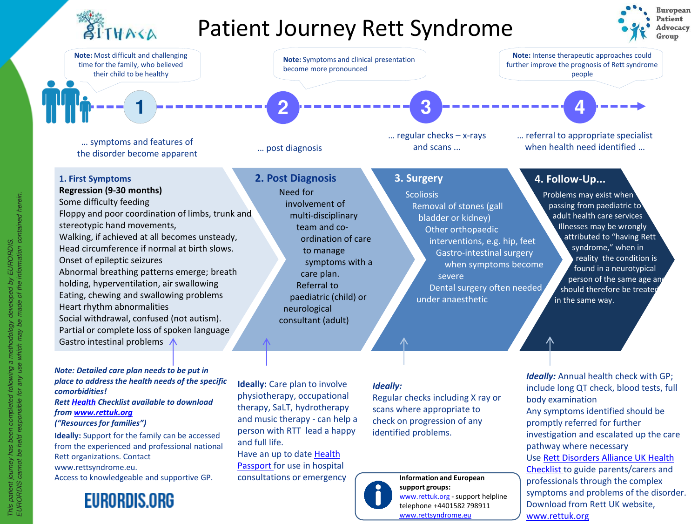

## Patient Journey Rett Syndrome





### **1. First Symptoms**

**Regression (9-30 months)** 

Some difficulty feeding Floppy and poor coordination of limbs, trunk and stereotypic hand movements, Walking, if achieved at all becomes unsteady, Head circumference if normal at birth slows. Onset of epileptic seizures Abnormal breathing patterns emerge; breath holding, hyperventilation, air swallowing Eating, chewing and swallowing problems Heart rhythm abnormalities Social withdrawal, confused (not autism). Partial or complete loss of spoken language Gastro intestinal problems  $\Lambda$ 

### **2. Post Diagnosis** Need for involvement of multi-disciplinary team and coordination of care to manage symptoms with a care plan. Referral to paediatric (child) or neurological consultant (adult)

### **3. Surgery**

**Scoliosis** Removal of stones (gall bladder or kidney) Other orthopaedic interventions, e.g. hip, feet Gastro-intestinal surgery when symptoms become severe Dental surgery often needed under anaesthetic

### **4. Follow-Up...**

Problems may exist when passing from paediatric to adult health care services Illnesses may be wrongly attributed to "having Rett syndrome," when in reality the condition is found in a neurotypical person of the same age and should therefore be treated in the same way.

**Ideally:** Annual health check with GP; include long QT check, blood tests, full

*Note: Detailed care plan needs to be put in place to address the health needs of the specific comorbidities! Rett [Health](https://www.rettuk.org/resources/resources-for-families/rett-disorders-alliance-health-checklist/) Checklist available to download from [www.rettuk.org](http://www.rettuk.org/) ("Resources for families")*

**Ideally:** Support for the family can be accessed from the experienced and professional national Rett organizations. Contact www.rettsyndrome.eu. Access to knowledgeable and supportive GP.

### **EURORDIS.ORG**

**Ideally:** Care plan to involve physiotherapy, occupational therapy, SaLT, hydrotherapy and music therapy - can help a person with RTT lead a happy and full life. Have an up to date Health

[Passport for use in hospita](https://www.rettuk.org/resources/resources-for-families/health-passport/)l consultations or emergency

#### *Ideally:*

Regular checks including X ray or scans where appropriate to check on progression of any identified problems.



Any symptoms identified should be promptly referred for further investigation and escalated up the care pathway where necessary Use Rett Disorders Alliance UK Health [Checklist to guide parents/carers and](https://www.rettuk.org/resources/resources-for-families/rett-disorders-alliance-health-checklist/)  professionals through the complex symptoms and problems of the disorder. Download from Rett UK website, [www.rettuk.org](https://www.rettuk.org/resources/resources-for-families/rett-disorders-alliance-health-checklist/) [www.rettuk.org](http://www.rettuk.org/) - support helpline

body examination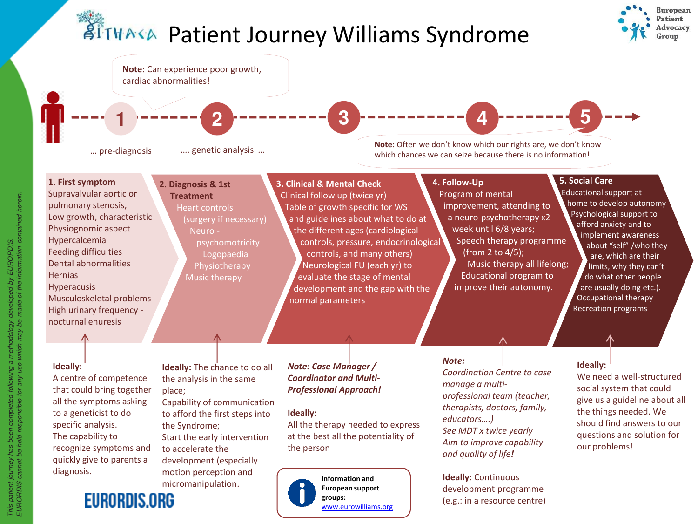# **ATTHAKA Patient Journey Williams Syndrome**





**groups:** 

[www.eurowilliams.org](http://www.eurowilliams.org/)

(e.g.: in a resource centre)

**EURORDIS.ORG**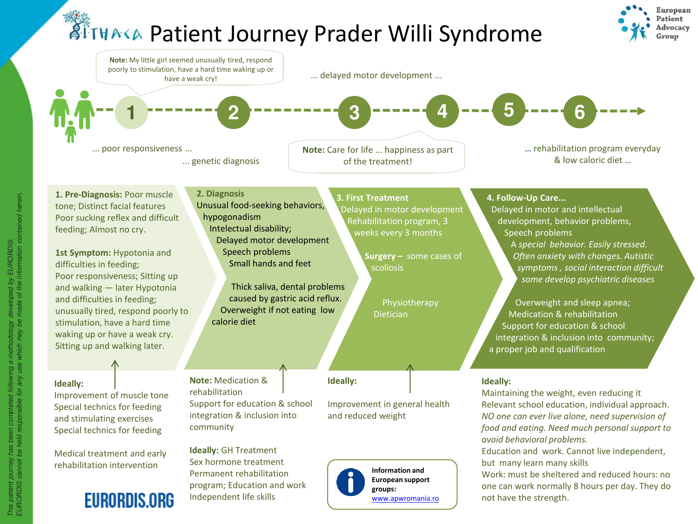## **ATTHAKA Patient Journey Prader Willi Syndrome**

Independent life skills

**EURORDIS.ORG** 





[www.apwromania.ro](http://www.apwromania.ro/)

not have the strength.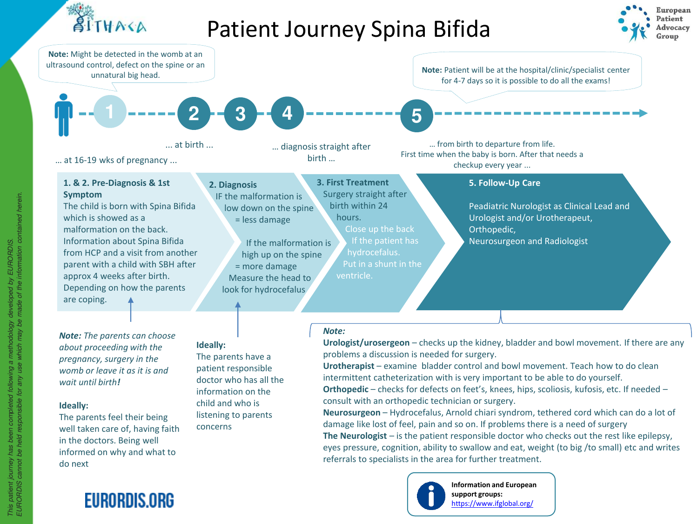

## Patient Journey Spina Bifida







**Information and European support groups:**  <https://www.ifglobal.org/>